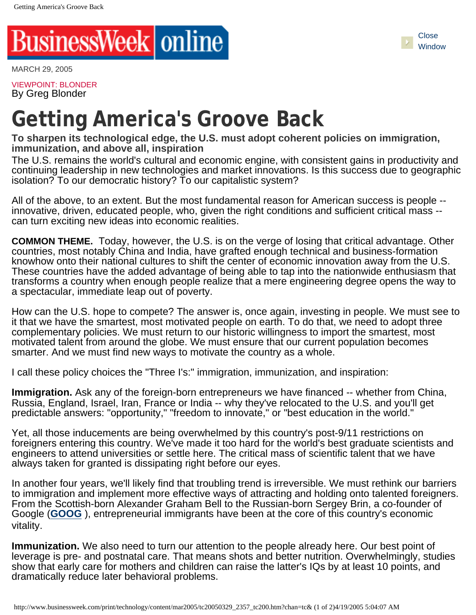

MARCH 29, 2005

VIEWPOINT: BLONDER By Greg Blonder

## **Getting America's Groove Back**

**To sharpen its technological edge, the U.S. must adopt coherent policies on immigration, immunization, and above all, inspiration**

The U.S. remains the world's cultural and economic engine, with consistent gains in productivity and continuing leadership in new technologies and market innovations. Is this success due to geographic isolation? To our democratic history? To our capitalistic system?

All of the above, to an extent. But the most fundamental reason for American success is people - innovative, driven, educated people, who, given the right conditions and sufficient critical mass - can turn exciting new ideas into economic realities.

**COMMON THEME.** Today, however, the U.S. is on the verge of losing that critical advantage. Other countries, most notably China and India, have grafted enough technical and business-formation knowhow onto their national cultures to shift the center of economic innovation away from the U.S. These countries have the added advantage of being able to tap into the nationwide enthusiasm that transforms a country when enough people realize that a mere engineering degree opens the way to a spectacular, immediate leap out of poverty.

How can the U.S. hope to compete? The answer is, once again, investing in people. We must see to it that we have the smartest, most motivated people on earth. To do that, we need to adopt three complementary policies. We must return to our historic willingness to import the smartest, most motivated talent from around the globe. We must ensure that our current population becomes smarter. And we must find new ways to motivate the country as a whole.

I call these policy choices the "Three I's:" immigration, immunization, and inspiration:

**Immigration.** Ask any of the foreign-born entrepreneurs we have financed -- whether from China, Russia, England, Israel, Iran, France or India -- why they've relocated to the U.S. and you'll get predictable answers: "opportunity," "freedom to innovate," or "best education in the world."

Yet, all those inducements are being overwhelmed by this country's post-9/11 restrictions on foreigners entering this country. We've made it too hard for the world's best graduate scientists and engineers to attend universities or settle here. The critical mass of scientific talent that we have always taken for granted is dissipating right before our eyes.

In another four years, we'll likely find that troubling trend is irreversible. We must rethink our barriers to immigration and implement more effective ways of attracting and holding onto talented foreigners. From the Scottish-born Alexander Graham Bell to the Russian-born Sergey Brin, a co-founder of Google (**GOOG** ), entrepreneurial immigrants have been at the core of this country's economic vitality.

**Immunization.** We also need to turn our attention to the people already here. Our best point of leverage is pre- and postnatal care. That means shots and better nutrition. Overwhelmingly, studies show that early care for mothers and children can raise the latter's IQs by at least 10 points, and dramatically reduce later behavioral problems.